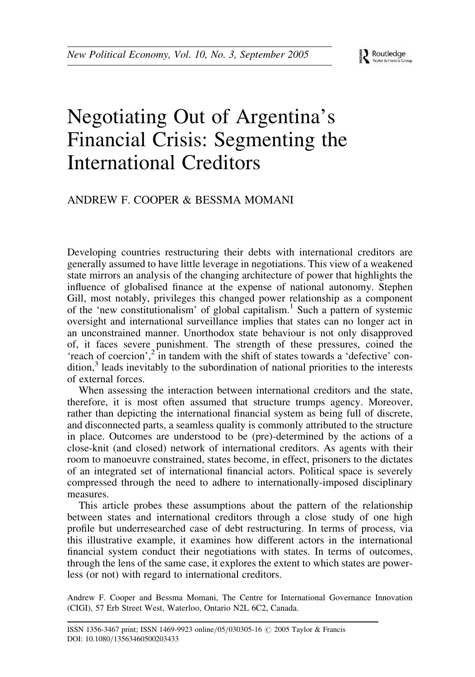$\sum_{k=1}^{n}$  Routledge Taylor & Francis Group

# Negotiating Out of Argentina's Financial Crisis: Segmenting the International Creditors

# ANDREW F. COOPER & BESSMA MOMANI

Developing countries restructuring their debts with international creditors are generally assumed to have little leverage in negotiations. This view of a weakened state mirrors an analysis of the changing architecture of power that highlights the influence of globalised finance at the expense of national autonomy. Stephen Gill, most notably, privileges this changed power relationship as a component of the 'new constitutionalism' of global capitalism.<sup>1</sup> Such a pattern of systemic oversight and international surveillance implies that states can no longer act in an unconstrained manner. Unorthodox state behaviour is not only disapproved of, it faces severe punishment. The strength of these pressures, coined the 'reach of coercion',<sup>2</sup> in tandem with the shift of states towards a 'defective' con- $\delta$  dition,<sup>3</sup> leads inevitably to the subordination of national priorities to the interests of external forces.

When assessing the interaction between international creditors and the state, therefore, it is most often assumed that structure trumps agency. Moreover, rather than depicting the international financial system as being full of discrete, and disconnected parts, a seamless quality is commonly attributed to the structure in place. Outcomes are understood to be (pre)-determined by the actions of a close-knit (and closed) network of international creditors. As agents with their room to manoeuvre constrained, states become, in effect, prisoners to the dictates of an integrated set of international financial actors. Political space is severely compressed through the need to adhere to internationally-imposed disciplinary measures.

This article probes these assumptions about the pattern of the relationship between states and international creditors through a close study of one high profile but underresearched case of debt restructuring. In terms of process, via this illustrative example, it examines how different actors in the international financial system conduct their negotiations with states. In terms of outcomes, through the lens of the same case, it explores the extent to which states are powerless (or not) with regard to international creditors.

Andrew F. Cooper and Bessma Momani, The Centre for International Governance Innovation (CIGI), 57 Erb Street West, Waterloo, Ontario N2L 6C2, Canada.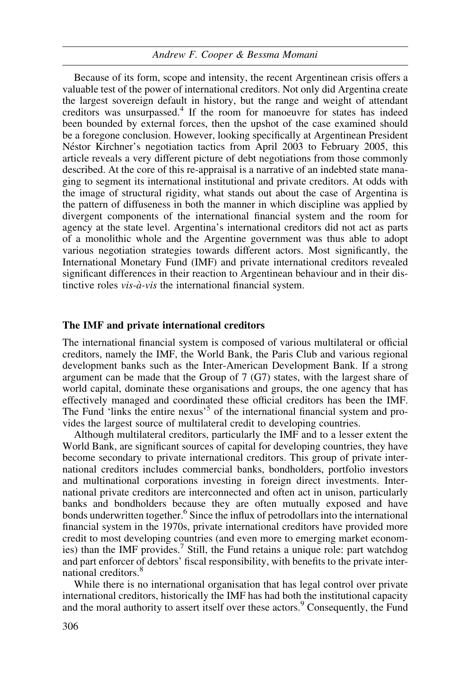Andrew F. Cooper & Bessma Momani

Because of its form, scope and intensity, the recent Argentinean crisis offers a valuable test of the power of international creditors. Not only did Argentina create the largest sovereign default in history, but the range and weight of attendant creditors was unsurpassed.4 If the room for manoeuvre for states has indeed been bounded by external forces, then the upshot of the case examined should be a foregone conclusion. However, looking specifically at Argentinean President Néstor Kirchner's negotiation tactics from April 2003 to February 2005, this article reveals a very different picture of debt negotiations from those commonly described. At the core of this re-appraisal is a narrative of an indebted state managing to segment its international institutional and private creditors. At odds with the image of structural rigidity, what stands out about the case of Argentina is the pattern of diffuseness in both the manner in which discipline was applied by divergent components of the international financial system and the room for agency at the state level. Argentina's international creditors did not act as parts of a monolithic whole and the Argentine government was thus able to adopt various negotiation strategies towards different actors. Most significantly, the International Monetary Fund (IMF) and private international creditors revealed significant differences in their reaction to Argentinean behaviour and in their distinctive roles  $vis-\hat{a}-vis$  the international financial system.

#### The IMF and private international creditors

The international financial system is composed of various multilateral or official creditors, namely the IMF, the World Bank, the Paris Club and various regional development banks such as the Inter-American Development Bank. If a strong argument can be made that the Group of 7 (G7) states, with the largest share of world capital, dominate these organisations and groups, the one agency that has effectively managed and coordinated these official creditors has been the IMF. The Fund 'links the entire nexus'<sup>5</sup> of the international financial system and provides the largest source of multilateral credit to developing countries.

Although multilateral creditors, particularly the IMF and to a lesser extent the World Bank, are significant sources of capital for developing countries, they have become secondary to private international creditors. This group of private international creditors includes commercial banks, bondholders, portfolio investors and multinational corporations investing in foreign direct investments. International private creditors are interconnected and often act in unison, particularly banks and bondholders because they are often mutually exposed and have bonds underwritten together.<sup>6</sup> Since the influx of petrodollars into the international financial system in the 1970s, private international creditors have provided more credit to most developing countries (and even more to emerging market economies) than the IMF provides.<sup>7</sup> Still, the Fund retains a unique role: part watchdog and part enforcer of debtors' fiscal responsibility, with benefits to the private international creditors.<sup>8</sup>

While there is no international organisation that has legal control over private international creditors, historically the IMF has had both the institutional capacity and the moral authority to assert itself over these actors.<sup>9</sup> Consequently, the Fund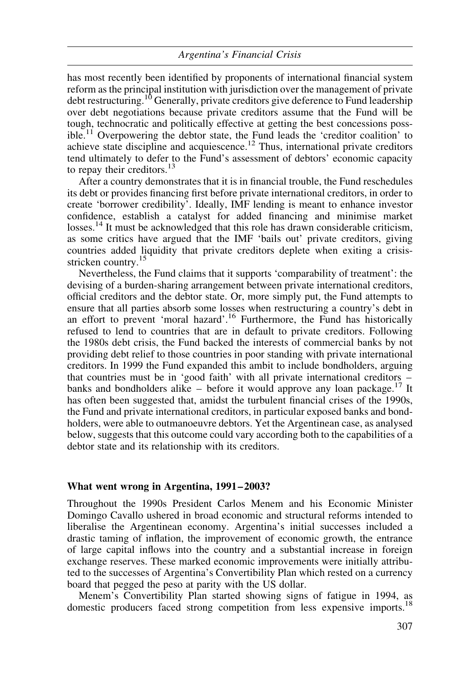has most recently been identified by proponents of international financial system reform as the principal institution with jurisdiction over the management of private debt restructuring.10 Generally, private creditors give deference to Fund leadership over debt negotiations because private creditors assume that the Fund will be tough, technocratic and politically effective at getting the best concessions possible.11 Overpowering the debtor state, the Fund leads the 'creditor coalition' to achieve state discipline and acquiescence.<sup>12</sup> Thus, international private creditors tend ultimately to defer to the Fund's assessment of debtors' economic capacity to repay their creditors.<sup>13</sup>

After a country demonstrates that it is in financial trouble, the Fund reschedules its debt or provides financing first before private international creditors, in order to create 'borrower credibility'. Ideally, IMF lending is meant to enhance investor confidence, establish a catalyst for added financing and minimise market losses.<sup>14</sup> It must be acknowledged that this role has drawn considerable criticism, as some critics have argued that the IMF 'bails out' private creditors, giving countries added liquidity that private creditors deplete when exiting a crisisstricken country.<sup>15</sup>

Nevertheless, the Fund claims that it supports 'comparability of treatment': the devising of a burden-sharing arrangement between private international creditors, official creditors and the debtor state. Or, more simply put, the Fund attempts to ensure that all parties absorb some losses when restructuring a country's debt in an effort to prevent 'moral hazard'.<sup>16</sup> Furthermore, the Fund has historically refused to lend to countries that are in default to private creditors. Following the 1980s debt crisis, the Fund backed the interests of commercial banks by not providing debt relief to those countries in poor standing with private international creditors. In 1999 the Fund expanded this ambit to include bondholders, arguing that countries must be in 'good faith' with all private international creditors – banks and bondholders alike – before it would approve any loan package.<sup>17</sup> It has often been suggested that, amidst the turbulent financial crises of the 1990s, the Fund and private international creditors, in particular exposed banks and bondholders, were able to outmanoeuvre debtors. Yet the Argentinean case, as analysed below, suggests that this outcome could vary according both to the capabilities of a debtor state and its relationship with its creditors.

#### What went wrong in Argentina, 1991–2003?

Throughout the 1990s President Carlos Menem and his Economic Minister Domingo Cavallo ushered in broad economic and structural reforms intended to liberalise the Argentinean economy. Argentina's initial successes included a drastic taming of inflation, the improvement of economic growth, the entrance of large capital inflows into the country and a substantial increase in foreign exchange reserves. These marked economic improvements were initially attributed to the successes of Argentina's Convertibility Plan which rested on a currency board that pegged the peso at parity with the US dollar.

Menem's Convertibility Plan started showing signs of fatigue in 1994, as domestic producers faced strong competition from less expensive imports.<sup>18</sup>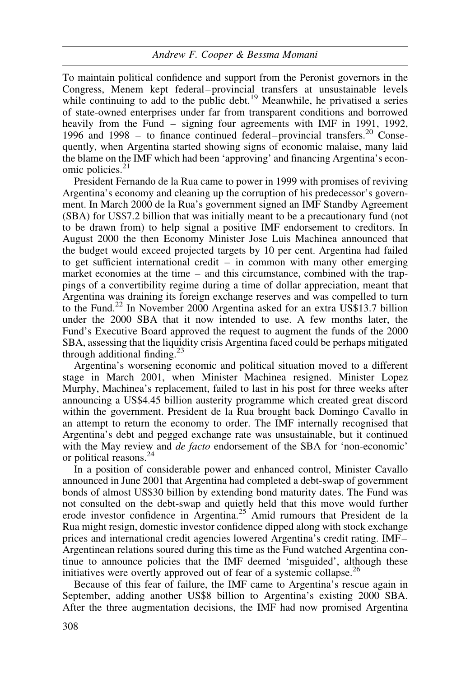To maintain political confidence and support from the Peronist governors in the Congress, Menem kept federal–provincial transfers at unsustainable levels while continuing to add to the public debt.<sup>19</sup> Meanwhile, he privatised a series of state-owned enterprises under far from transparent conditions and borrowed heavily from the Fund – signing four agreements with IMF in 1991, 1992, 1996 and 1998 – to finance continued federal–provincial transfers.<sup>20</sup> Consequently, when Argentina started showing signs of economic malaise, many laid the blame on the IMF which had been 'approving' and financing Argentina's economic policies.<sup>21</sup>

President Fernando de la Rua came to power in 1999 with promises of reviving Argentina's economy and cleaning up the corruption of his predecessor's government. In March 2000 de la Rua's government signed an IMF Standby Agreement (SBA) for US\$7.2 billion that was initially meant to be a precautionary fund (not to be drawn from) to help signal a positive IMF endorsement to creditors. In August 2000 the then Economy Minister Jose Luis Machinea announced that the budget would exceed projected targets by 10 per cent. Argentina had failed to get sufficient international credit – in common with many other emerging market economies at the time – and this circumstance, combined with the trappings of a convertibility regime during a time of dollar appreciation, meant that Argentina was draining its foreign exchange reserves and was compelled to turn to the Fund.<sup>22</sup> In November 2000 Argentina asked for an extra US\$13.7 billion under the 2000 SBA that it now intended to use. A few months later, the Fund's Executive Board approved the request to augment the funds of the 2000 SBA, assessing that the liquidity crisis Argentina faced could be perhaps mitigated through additional finding.<sup>23</sup>

Argentina's worsening economic and political situation moved to a different stage in March 2001, when Minister Machinea resigned. Minister Lopez Murphy, Machinea's replacement, failed to last in his post for three weeks after announcing a US\$4.45 billion austerity programme which created great discord within the government. President de la Rua brought back Domingo Cavallo in an attempt to return the economy to order. The IMF internally recognised that Argentina's debt and pegged exchange rate was unsustainable, but it continued with the May review and *de facto* endorsement of the SBA for 'non-economic' or political reasons.<sup>24</sup>

In a position of considerable power and enhanced control, Minister Cavallo announced in June 2001 that Argentina had completed a debt-swap of government bonds of almost US\$30 billion by extending bond maturity dates. The Fund was not consulted on the debt-swap and quietly held that this move would further erode investor confidence in Argentina.<sup>25</sup> Amid rumours that President de la Rua might resign, domestic investor confidence dipped along with stock exchange prices and international credit agencies lowered Argentina's credit rating. IMF– Argentinean relations soured during this time as the Fund watched Argentina continue to announce policies that the IMF deemed 'misguided', although these initiatives were overtly approved out of fear of a systemic collapse.<sup>26</sup>

Because of this fear of failure, the IMF came to Argentina's rescue again in September, adding another US\$8 billion to Argentina's existing 2000 SBA. After the three augmentation decisions, the IMF had now promised Argentina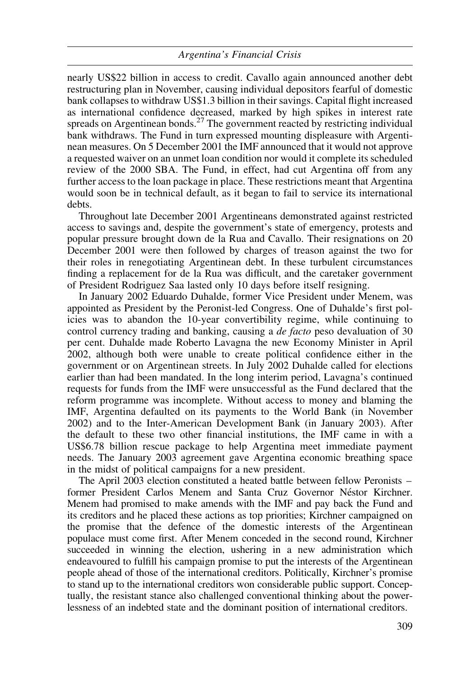nearly US\$22 billion in access to credit. Cavallo again announced another debt restructuring plan in November, causing individual depositors fearful of domestic bank collapses to withdraw US\$1.3 billion in their savings. Capital flight increased as international confidence decreased, marked by high spikes in interest rate spreads on Argentinean bonds.<sup>27</sup> The government reacted by restricting individual bank withdraws. The Fund in turn expressed mounting displeasure with Argentinean measures. On 5 December 2001 the IMF announced that it would not approve a requested waiver on an unmet loan condition nor would it complete its scheduled review of the 2000 SBA. The Fund, in effect, had cut Argentina off from any further access to the loan package in place. These restrictions meant that Argentina would soon be in technical default, as it began to fail to service its international debts.

Throughout late December 2001 Argentineans demonstrated against restricted access to savings and, despite the government's state of emergency, protests and popular pressure brought down de la Rua and Cavallo. Their resignations on 20 December 2001 were then followed by charges of treason against the two for their roles in renegotiating Argentinean debt. In these turbulent circumstances finding a replacement for de la Rua was difficult, and the caretaker government of President Rodriguez Saa lasted only 10 days before itself resigning.

In January 2002 Eduardo Duhalde, former Vice President under Menem, was appointed as President by the Peronist-led Congress. One of Duhalde's first policies was to abandon the 10-year convertibility regime, while continuing to control currency trading and banking, causing a de facto peso devaluation of 30 per cent. Duhalde made Roberto Lavagna the new Economy Minister in April 2002, although both were unable to create political confidence either in the government or on Argentinean streets. In July 2002 Duhalde called for elections earlier than had been mandated. In the long interim period, Lavagna's continued requests for funds from the IMF were unsuccessful as the Fund declared that the reform programme was incomplete. Without access to money and blaming the IMF, Argentina defaulted on its payments to the World Bank (in November 2002) and to the Inter-American Development Bank (in January 2003). After the default to these two other financial institutions, the IMF came in with a US\$6.78 billion rescue package to help Argentina meet immediate payment needs. The January 2003 agreement gave Argentina economic breathing space in the midst of political campaigns for a new president.

The April 2003 election constituted a heated battle between fellow Peronists – former President Carlos Menem and Santa Cruz Governor Néstor Kirchner. Menem had promised to make amends with the IMF and pay back the Fund and its creditors and he placed these actions as top priorities; Kirchner campaigned on the promise that the defence of the domestic interests of the Argentinean populace must come first. After Menem conceded in the second round, Kirchner succeeded in winning the election, ushering in a new administration which endeavoured to fulfill his campaign promise to put the interests of the Argentinean people ahead of those of the international creditors. Politically, Kirchner's promise to stand up to the international creditors won considerable public support. Conceptually, the resistant stance also challenged conventional thinking about the powerlessness of an indebted state and the dominant position of international creditors.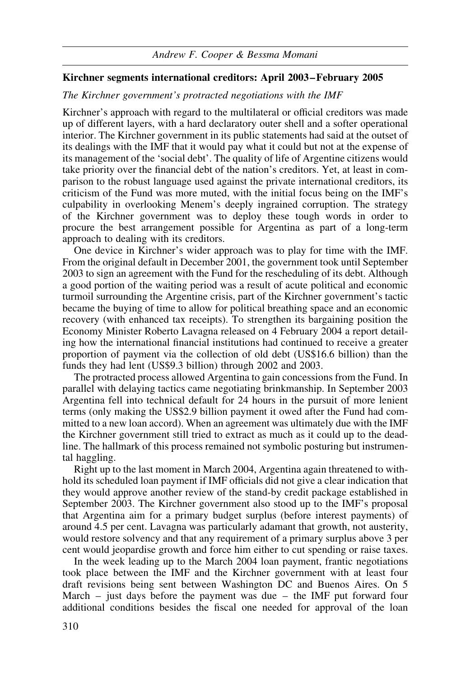## Kirchner segments international creditors: April 2003 –February 2005

#### The Kirchner government's protracted negotiations with the IMF

Kirchner's approach with regard to the multilateral or official creditors was made up of different layers, with a hard declaratory outer shell and a softer operational interior. The Kirchner government in its public statements had said at the outset of its dealings with the IMF that it would pay what it could but not at the expense of its management of the 'social debt'. The quality of life of Argentine citizens would take priority over the financial debt of the nation's creditors. Yet, at least in comparison to the robust language used against the private international creditors, its criticism of the Fund was more muted, with the initial focus being on the IMF's culpability in overlooking Menem's deeply ingrained corruption. The strategy of the Kirchner government was to deploy these tough words in order to procure the best arrangement possible for Argentina as part of a long-term approach to dealing with its creditors.

One device in Kirchner's wider approach was to play for time with the IMF. From the original default in December 2001, the government took until September 2003 to sign an agreement with the Fund for the rescheduling of its debt. Although a good portion of the waiting period was a result of acute political and economic turmoil surrounding the Argentine crisis, part of the Kirchner government's tactic became the buying of time to allow for political breathing space and an economic recovery (with enhanced tax receipts). To strengthen its bargaining position the Economy Minister Roberto Lavagna released on 4 February 2004 a report detailing how the international financial institutions had continued to receive a greater proportion of payment via the collection of old debt (US\$16.6 billion) than the funds they had lent (US\$9.3 billion) through 2002 and 2003.

The protracted process allowed Argentina to gain concessions from the Fund. In parallel with delaying tactics came negotiating brinkmanship. In September 2003 Argentina fell into technical default for 24 hours in the pursuit of more lenient terms (only making the US\$2.9 billion payment it owed after the Fund had committed to a new loan accord). When an agreement was ultimately due with the IMF the Kirchner government still tried to extract as much as it could up to the deadline. The hallmark of this process remained not symbolic posturing but instrumental haggling.

Right up to the last moment in March 2004, Argentina again threatened to withhold its scheduled loan payment if IMF officials did not give a clear indication that they would approve another review of the stand-by credit package established in September 2003. The Kirchner government also stood up to the IMF's proposal that Argentina aim for a primary budget surplus (before interest payments) of around 4.5 per cent. Lavagna was particularly adamant that growth, not austerity, would restore solvency and that any requirement of a primary surplus above 3 per cent would jeopardise growth and force him either to cut spending or raise taxes.

In the week leading up to the March 2004 loan payment, frantic negotiations took place between the IMF and the Kirchner government with at least four draft revisions being sent between Washington DC and Buenos Aires. On 5 March  $-$  just days before the payment was due  $-$  the IMF put forward four additional conditions besides the fiscal one needed for approval of the loan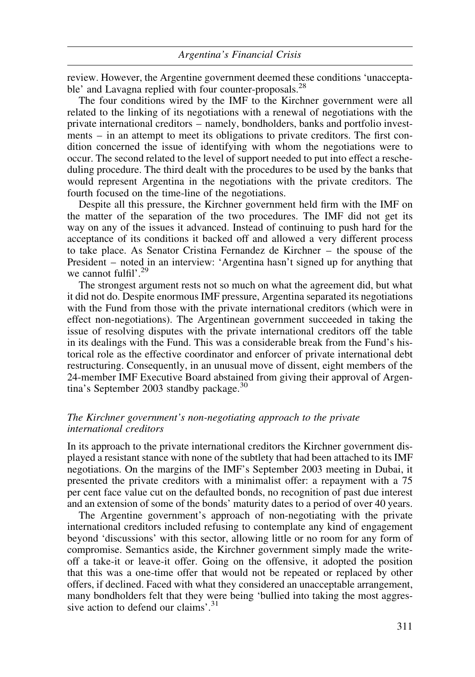review. However, the Argentine government deemed these conditions 'unacceptable' and Lavagna replied with four counter-proposals. $^{28}$ 

The four conditions wired by the IMF to the Kirchner government were all related to the linking of its negotiations with a renewal of negotiations with the private international creditors – namely, bondholders, banks and portfolio investments – in an attempt to meet its obligations to private creditors. The first condition concerned the issue of identifying with whom the negotiations were to occur. The second related to the level of support needed to put into effect a rescheduling procedure. The third dealt with the procedures to be used by the banks that would represent Argentina in the negotiations with the private creditors. The fourth focused on the time-line of the negotiations.

Despite all this pressure, the Kirchner government held firm with the IMF on the matter of the separation of the two procedures. The IMF did not get its way on any of the issues it advanced. Instead of continuing to push hard for the acceptance of its conditions it backed off and allowed a very different process to take place. As Senator Cristina Fernandez de Kirchner – the spouse of the President – noted in an interview: 'Argentina hasn't signed up for anything that we cannot fulfil'.<sup>29</sup>

The strongest argument rests not so much on what the agreement did, but what it did not do. Despite enormous IMF pressure, Argentina separated its negotiations with the Fund from those with the private international creditors (which were in effect non-negotiations). The Argentinean government succeeded in taking the issue of resolving disputes with the private international creditors off the table in its dealings with the Fund. This was a considerable break from the Fund's historical role as the effective coordinator and enforcer of private international debt restructuring. Consequently, in an unusual move of dissent, eight members of the 24-member IMF Executive Board abstained from giving their approval of Argentina's September 2003 standby package.<sup>30</sup>

# The Kirchner government's non-negotiating approach to the private international creditors

In its approach to the private international creditors the Kirchner government displayed a resistant stance with none of the subtlety that had been attached to its IMF negotiations. On the margins of the IMF's September 2003 meeting in Dubai, it presented the private creditors with a minimalist offer: a repayment with a 75 per cent face value cut on the defaulted bonds, no recognition of past due interest and an extension of some of the bonds' maturity dates to a period of over 40 years.

The Argentine government's approach of non-negotiating with the private international creditors included refusing to contemplate any kind of engagement beyond 'discussions' with this sector, allowing little or no room for any form of compromise. Semantics aside, the Kirchner government simply made the writeoff a take-it or leave-it offer. Going on the offensive, it adopted the position that this was a one-time offer that would not be repeated or replaced by other offers, if declined. Faced with what they considered an unacceptable arrangement, many bondholders felt that they were being 'bullied into taking the most aggressive action to defend our claims'.<sup>31</sup>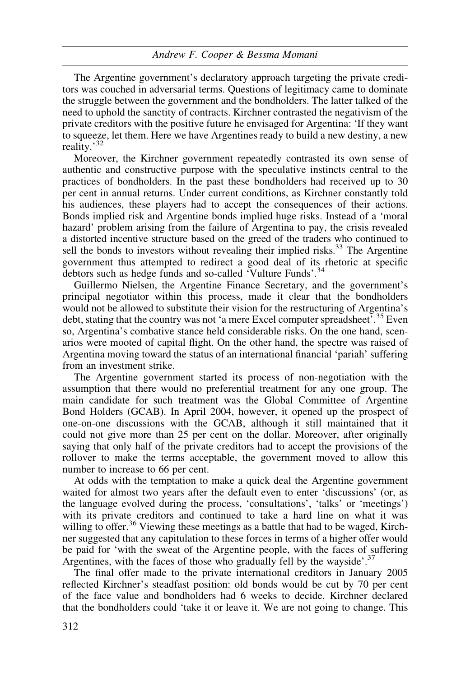The Argentine government's declaratory approach targeting the private creditors was couched in adversarial terms. Questions of legitimacy came to dominate the struggle between the government and the bondholders. The latter talked of the need to uphold the sanctity of contracts. Kirchner contrasted the negativism of the private creditors with the positive future he envisaged for Argentina: 'If they want to squeeze, let them. Here we have Argentines ready to build a new destiny, a new reality.'32

Moreover, the Kirchner government repeatedly contrasted its own sense of authentic and constructive purpose with the speculative instincts central to the practices of bondholders. In the past these bondholders had received up to 30 per cent in annual returns. Under current conditions, as Kirchner constantly told his audiences, these players had to accept the consequences of their actions. Bonds implied risk and Argentine bonds implied huge risks. Instead of a 'moral hazard' problem arising from the failure of Argentina to pay, the crisis revealed a distorted incentive structure based on the greed of the traders who continued to sell the bonds to investors without revealing their implied risks.<sup>33</sup> The Argentine government thus attempted to redirect a good deal of its rhetoric at specific debtors such as hedge funds and so-called 'Vulture Funds'.<sup>34</sup>

Guillermo Nielsen, the Argentine Finance Secretary, and the government's principal negotiator within this process, made it clear that the bondholders would not be allowed to substitute their vision for the restructuring of Argentina's debt, stating that the country was not 'a mere Excel computer spreadsheet'.<sup>35</sup> Even so, Argentina's combative stance held considerable risks. On the one hand, scenarios were mooted of capital flight. On the other hand, the spectre was raised of Argentina moving toward the status of an international financial 'pariah' suffering from an investment strike.

The Argentine government started its process of non-negotiation with the assumption that there would no preferential treatment for any one group. The main candidate for such treatment was the Global Committee of Argentine Bond Holders (GCAB). In April 2004, however, it opened up the prospect of one-on-one discussions with the GCAB, although it still maintained that it could not give more than 25 per cent on the dollar. Moreover, after originally saying that only half of the private creditors had to accept the provisions of the rollover to make the terms acceptable, the government moved to allow this number to increase to 66 per cent.

At odds with the temptation to make a quick deal the Argentine government waited for almost two years after the default even to enter 'discussions' (or, as the language evolved during the process, 'consultations', 'talks' or 'meetings') with its private creditors and continued to take a hard line on what it was willing to offer.<sup>36</sup> Viewing these meetings as a battle that had to be waged, Kirchner suggested that any capitulation to these forces in terms of a higher offer would be paid for 'with the sweat of the Argentine people, with the faces of suffering Argentines, with the faces of those who gradually fell by the wayside'. $37$ 

The final offer made to the private international creditors in January 2005 reflected Kirchner's steadfast position: old bonds would be cut by 70 per cent of the face value and bondholders had 6 weeks to decide. Kirchner declared that the bondholders could 'take it or leave it. We are not going to change. This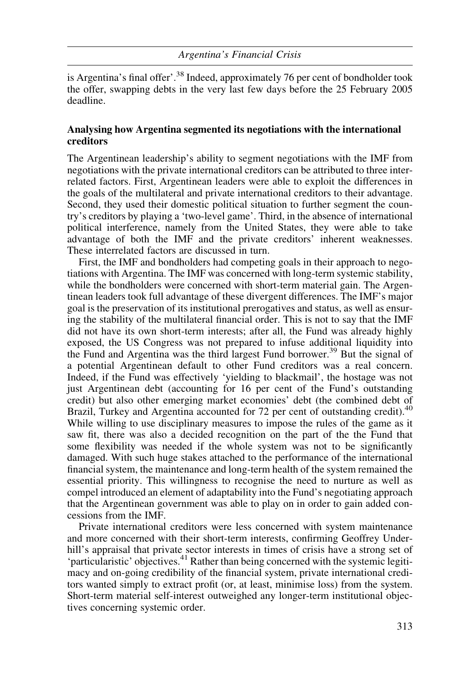is Argentina's final offer'.<sup>38</sup> Indeed, approximately 76 per cent of bondholder took the offer, swapping debts in the very last few days before the 25 February 2005 deadline.

# Analysing how Argentina segmented its negotiations with the international creditors

The Argentinean leadership's ability to segment negotiations with the IMF from negotiations with the private international creditors can be attributed to three interrelated factors. First, Argentinean leaders were able to exploit the differences in the goals of the multilateral and private international creditors to their advantage. Second, they used their domestic political situation to further segment the country's creditors by playing a 'two-level game'. Third, in the absence of international political interference, namely from the United States, they were able to take advantage of both the IMF and the private creditors' inherent weaknesses. These interrelated factors are discussed in turn.

First, the IMF and bondholders had competing goals in their approach to negotiations with Argentina. The IMF was concerned with long-term systemic stability, while the bondholders were concerned with short-term material gain. The Argentinean leaders took full advantage of these divergent differences. The IMF's major goal is the preservation of its institutional prerogatives and status, as well as ensuring the stability of the multilateral financial order. This is not to say that the IMF did not have its own short-term interests; after all, the Fund was already highly exposed, the US Congress was not prepared to infuse additional liquidity into the Fund and Argentina was the third largest Fund borrower.39 But the signal of a potential Argentinean default to other Fund creditors was a real concern. Indeed, if the Fund was effectively 'yielding to blackmail', the hostage was not just Argentinean debt (accounting for 16 per cent of the Fund's outstanding credit) but also other emerging market economies' debt (the combined debt of Brazil, Turkey and Argentina accounted for 72 per cent of outstanding credit).<sup>40</sup> While willing to use disciplinary measures to impose the rules of the game as it saw fit, there was also a decided recognition on the part of the the Fund that some flexibility was needed if the whole system was not to be significantly damaged. With such huge stakes attached to the performance of the international financial system, the maintenance and long-term health of the system remained the essential priority. This willingness to recognise the need to nurture as well as compel introduced an element of adaptability into the Fund's negotiating approach that the Argentinean government was able to play on in order to gain added concessions from the IMF.

Private international creditors were less concerned with system maintenance and more concerned with their short-term interests, confirming Geoffrey Underhill's appraisal that private sector interests in times of crisis have a strong set of 'particularistic' objectives.<sup>41</sup> Rather than being concerned with the systemic legitimacy and on-going credibility of the financial system, private international creditors wanted simply to extract profit (or, at least, minimise loss) from the system. Short-term material self-interest outweighed any longer-term institutional objectives concerning systemic order.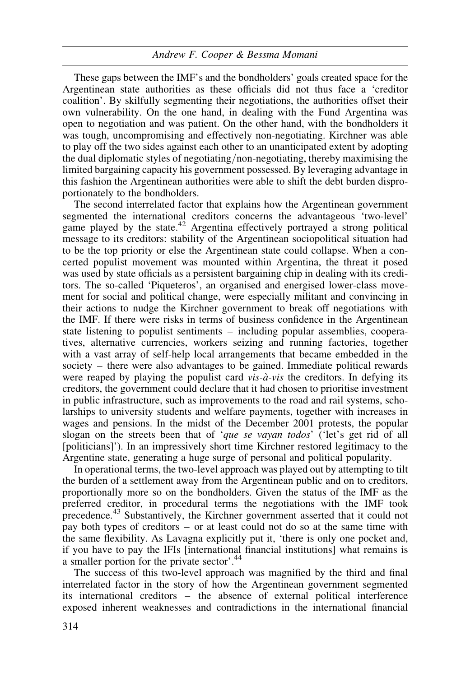These gaps between the IMF's and the bondholders' goals created space for the Argentinean state authorities as these officials did not thus face a 'creditor coalition'. By skilfully segmenting their negotiations, the authorities offset their own vulnerability. On the one hand, in dealing with the Fund Argentina was open to negotiation and was patient. On the other hand, with the bondholders it was tough, uncompromising and effectively non-negotiating. Kirchner was able to play off the two sides against each other to an unanticipated extent by adopting the dual diplomatic styles of negotiating/non-negotiating, thereby maximising the limited bargaining capacity his government possessed. By leveraging advantage in this fashion the Argentinean authorities were able to shift the debt burden disproportionately to the bondholders.

The second interrelated factor that explains how the Argentinean government segmented the international creditors concerns the advantageous 'two-level' game played by the state.<sup>42</sup> Argentina effectively portrayed a strong political message to its creditors: stability of the Argentinean sociopolitical situation had to be the top priority or else the Argentinean state could collapse. When a concerted populist movement was mounted within Argentina, the threat it posed was used by state officials as a persistent bargaining chip in dealing with its creditors. The so-called 'Piqueteros', an organised and energised lower-class movement for social and political change, were especially militant and convincing in their actions to nudge the Kirchner government to break off negotiations with the IMF. If there were risks in terms of business confidence in the Argentinean state listening to populist sentiments – including popular assemblies, cooperatives, alternative currencies, workers seizing and running factories, together with a vast array of self-help local arrangements that became embedded in the society – there were also advantages to be gained. Immediate political rewards were reaped by playing the populist card  $vis-\hat{a}-vis$  the creditors. In defying its creditors, the government could declare that it had chosen to prioritise investment in public infrastructure, such as improvements to the road and rail systems, scholarships to university students and welfare payments, together with increases in wages and pensions. In the midst of the December 2001 protests, the popular slogan on the streets been that of 'que se vayan todos' ('let's get rid of all [politicians]'). In an impressively short time Kirchner restored legitimacy to the Argentine state, generating a huge surge of personal and political popularity.

In operational terms, the two-level approach was played out by attempting to tilt the burden of a settlement away from the Argentinean public and on to creditors, proportionally more so on the bondholders. Given the status of the IMF as the preferred creditor, in procedural terms the negotiations with the IMF took precedence.<sup>43</sup> Substantively, the Kirchner government asserted that it could not pay both types of creditors – or at least could not do so at the same time with the same flexibility. As Lavagna explicitly put it, 'there is only one pocket and, if you have to pay the IFIs [international financial institutions] what remains is a smaller portion for the private sector'.<sup>44</sup>

The success of this two-level approach was magnified by the third and final interrelated factor in the story of how the Argentinean government segmented its international creditors – the absence of external political interference exposed inherent weaknesses and contradictions in the international financial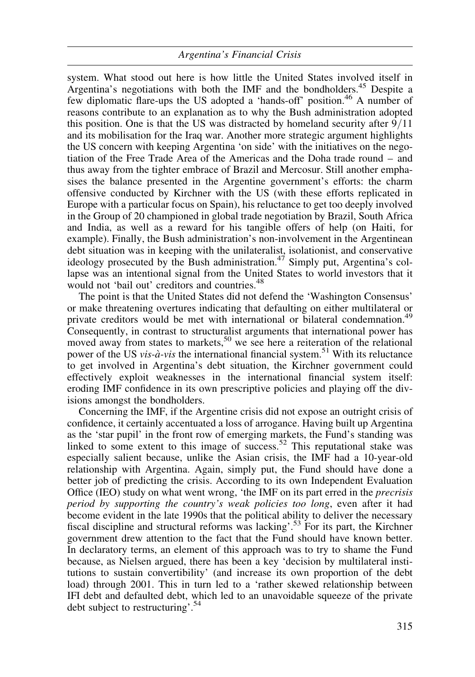## Argentina's Financial Crisis

system. What stood out here is how little the United States involved itself in Argentina's negotiations with both the IMF and the bondholders.<sup>45</sup> Despite a few diplomatic flare-ups the US adopted a 'hands-off' position.<sup>46</sup> A number of reasons contribute to an explanation as to why the Bush administration adopted this position. One is that the US was distracted by homeland security after  $9/11$ and its mobilisation for the Iraq war. Another more strategic argument highlights the US concern with keeping Argentina 'on side' with the initiatives on the negotiation of the Free Trade Area of the Americas and the Doha trade round – and thus away from the tighter embrace of Brazil and Mercosur. Still another emphasises the balance presented in the Argentine government's efforts: the charm offensive conducted by Kirchner with the US (with these efforts replicated in Europe with a particular focus on Spain), his reluctance to get too deeply involved in the Group of 20 championed in global trade negotiation by Brazil, South Africa and India, as well as a reward for his tangible offers of help (on Haiti, for example). Finally, the Bush administration's non-involvement in the Argentinean debt situation was in keeping with the unilateralist, isolationist, and conservative ideology prosecuted by the Bush administration.<sup>47</sup> Simply put, Argentina's collapse was an intentional signal from the United States to world investors that it would not 'bail out' creditors and countries.<sup>48</sup>

The point is that the United States did not defend the 'Washington Consensus' or make threatening overtures indicating that defaulting on either multilateral or private creditors would be met with international or bilateral condemnation.<sup>49</sup> Consequently, in contrast to structuralist arguments that international power has moved away from states to markets,<sup>50</sup> we see here a reiteration of the relational power of the US *vis-à-vis* the international financial system.<sup>51</sup> With its reluctance to get involved in Argentina's debt situation, the Kirchner government could effectively exploit weaknesses in the international financial system itself: eroding IMF confidence in its own prescriptive policies and playing off the divisions amongst the bondholders.

Concerning the IMF, if the Argentine crisis did not expose an outright crisis of confidence, it certainly accentuated a loss of arrogance. Having built up Argentina as the 'star pupil' in the front row of emerging markets, the Fund's standing was linked to some extent to this image of success.<sup>52</sup> This reputational stake was especially salient because, unlike the Asian crisis, the IMF had a 10-year-old relationship with Argentina. Again, simply put, the Fund should have done a better job of predicting the crisis. According to its own Independent Evaluation Office (IEO) study on what went wrong, 'the IMF on its part erred in the precrisis period by supporting the country's weak policies too long, even after it had become evident in the late 1990s that the political ability to deliver the necessary fiscal discipline and structural reforms was lacking'.53 For its part, the Kirchner government drew attention to the fact that the Fund should have known better. In declaratory terms, an element of this approach was to try to shame the Fund because, as Nielsen argued, there has been a key 'decision by multilateral institutions to sustain convertibility' (and increase its own proportion of the debt load) through 2001. This in turn led to a 'rather skewed relationship between IFI debt and defaulted debt, which led to an unavoidable squeeze of the private debt subject to restructuring'.<sup>54</sup>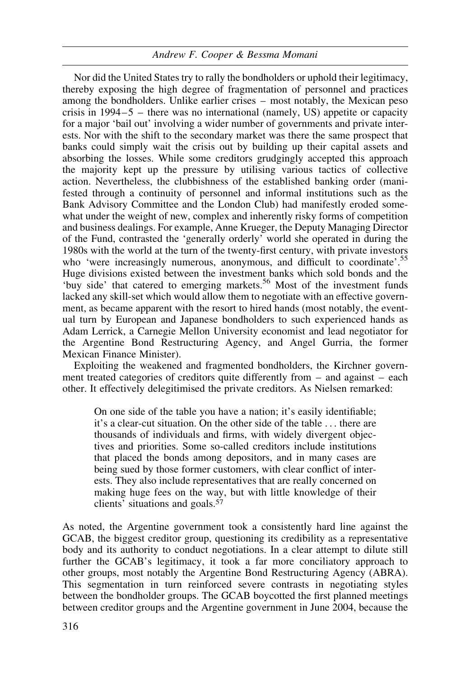Nor did the United States try to rally the bondholders or uphold their legitimacy, thereby exposing the high degree of fragmentation of personnel and practices among the bondholders. Unlike earlier crises – most notably, the Mexican peso crisis in  $1994-5$  – there was no international (namely, US) appetite or capacity for a major 'bail out' involving a wider number of governments and private interests. Nor with the shift to the secondary market was there the same prospect that banks could simply wait the crisis out by building up their capital assets and absorbing the losses. While some creditors grudgingly accepted this approach the majority kept up the pressure by utilising various tactics of collective action. Nevertheless, the clubbishness of the established banking order (manifested through a continuity of personnel and informal institutions such as the Bank Advisory Committee and the London Club) had manifestly eroded somewhat under the weight of new, complex and inherently risky forms of competition and business dealings. For example, Anne Krueger, the Deputy Managing Director of the Fund, contrasted the 'generally orderly' world she operated in during the 1980s with the world at the turn of the twenty-first century, with private investors who 'were increasingly numerous, anonymous, and difficult to coordinate'.<sup>55</sup> Huge divisions existed between the investment banks which sold bonds and the 'buy side' that catered to emerging markets.<sup>56</sup> Most of the investment funds lacked any skill-set which would allow them to negotiate with an effective government, as became apparent with the resort to hired hands (most notably, the eventual turn by European and Japanese bondholders to such experienced hands as Adam Lerrick, a Carnegie Mellon University economist and lead negotiator for the Argentine Bond Restructuring Agency, and Angel Gurria, the former Mexican Finance Minister).

Exploiting the weakened and fragmented bondholders, the Kirchner government treated categories of creditors quite differently from – and against – each other. It effectively delegitimised the private creditors. As Nielsen remarked:

On one side of the table you have a nation; it's easily identifiable; it's a clear-cut situation. On the other side of the table ... there are thousands of individuals and firms, with widely divergent objectives and priorities. Some so-called creditors include institutions that placed the bonds among depositors, and in many cases are being sued by those former customers, with clear conflict of interests. They also include representatives that are really concerned on making huge fees on the way, but with little knowledge of their clients' situations and goals.57

As noted, the Argentine government took a consistently hard line against the GCAB, the biggest creditor group, questioning its credibility as a representative body and its authority to conduct negotiations. In a clear attempt to dilute still further the GCAB's legitimacy, it took a far more conciliatory approach to other groups, most notably the Argentine Bond Restructuring Agency (ABRA). This segmentation in turn reinforced severe contrasts in negotiating styles between the bondholder groups. The GCAB boycotted the first planned meetings between creditor groups and the Argentine government in June 2004, because the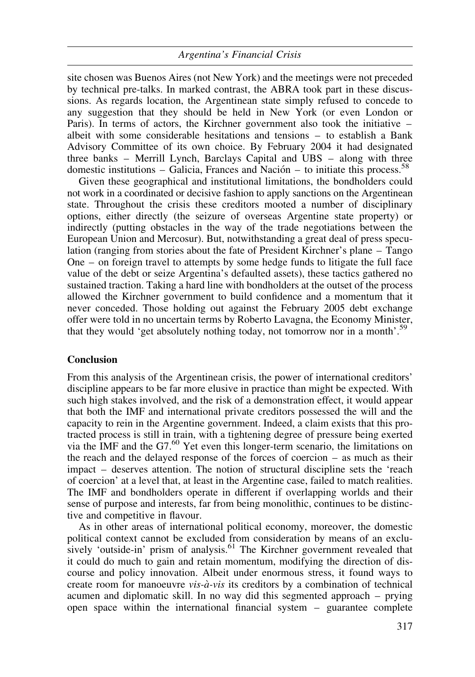### Argentina's Financial Crisis

site chosen was Buenos Aires (not New York) and the meetings were not preceded by technical pre-talks. In marked contrast, the ABRA took part in these discussions. As regards location, the Argentinean state simply refused to concede to any suggestion that they should be held in New York (or even London or Paris). In terms of actors, the Kirchner government also took the initiative – albeit with some considerable hesitations and tensions – to establish a Bank Advisory Committee of its own choice. By February 2004 it had designated three banks – Merrill Lynch, Barclays Capital and UBS – along with three domestic institutions – Galicia, Frances and Nación – to initiate this process.<sup>58</sup>

Given these geographical and institutional limitations, the bondholders could not work in a coordinated or decisive fashion to apply sanctions on the Argentinean state. Throughout the crisis these creditors mooted a number of disciplinary options, either directly (the seizure of overseas Argentine state property) or indirectly (putting obstacles in the way of the trade negotiations between the European Union and Mercosur). But, notwithstanding a great deal of press speculation (ranging from stories about the fate of President Kirchner's plane – Tango One – on foreign travel to attempts by some hedge funds to litigate the full face value of the debt or seize Argentina's defaulted assets), these tactics gathered no sustained traction. Taking a hard line with bondholders at the outset of the process allowed the Kirchner government to build confidence and a momentum that it never conceded. Those holding out against the February 2005 debt exchange offer were told in no uncertain terms by Roberto Lavagna, the Economy Minister, that they would 'get absolutely nothing today, not tomorrow nor in a month'.59

#### Conclusion

From this analysis of the Argentinean crisis, the power of international creditors' discipline appears to be far more elusive in practice than might be expected. With such high stakes involved, and the risk of a demonstration effect, it would appear that both the IMF and international private creditors possessed the will and the capacity to rein in the Argentine government. Indeed, a claim exists that this protracted process is still in train, with a tightening degree of pressure being exerted via the IMF and the  $G7<sup>60</sup>$  Yet even this longer-term scenario, the limitations on the reach and the delayed response of the forces of coercion – as much as their impact – deserves attention. The notion of structural discipline sets the 'reach of coercion' at a level that, at least in the Argentine case, failed to match realities. The IMF and bondholders operate in different if overlapping worlds and their sense of purpose and interests, far from being monolithic, continues to be distinctive and competitive in flavour.

As in other areas of international political economy, moreover, the domestic political context cannot be excluded from consideration by means of an exclusively 'outside-in' prism of analysis.<sup>61</sup> The Kirchner government revealed that it could do much to gain and retain momentum, modifying the direction of discourse and policy innovation. Albeit under enormous stress, it found ways to create room for manoeuvre vis-à-vis its creditors by a combination of technical acumen and diplomatic skill. In no way did this segmented approach – prying open space within the international financial system – guarantee complete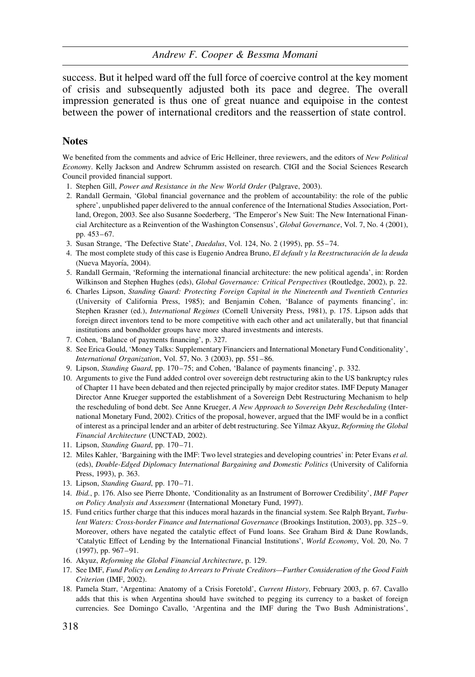Andrew F. Cooper & Bessma Momani

success. But it helped ward off the full force of coercive control at the key moment of crisis and subsequently adjusted both its pace and degree. The overall impression generated is thus one of great nuance and equipoise in the contest between the power of international creditors and the reassertion of state control.

# **Notes**

We benefited from the comments and advice of Eric Helleiner, three reviewers, and the editors of New Political Economy. Kelly Jackson and Andrew Schrumm assisted on research. CIGI and the Social Sciences Research Council provided financial support.

- 1. Stephen Gill, Power and Resistance in the New World Order (Palgrave, 2003).
- 2. Randall Germain, 'Global financial governance and the problem of accountability: the role of the public sphere', unpublished paper delivered to the annual conference of the International Studies Association, Portland, Oregon, 2003. See also Susanne Soederberg, 'The Emperor's New Suit: The New International Financial Architecture as a Reinvention of the Washington Consensus', Global Governance, Vol. 7, No. 4 (2001), pp. 453–67.
- 3. Susan Strange, 'The Defective State', Daedalus, Vol. 124, No. 2 (1995), pp. 55–74.
- 4. The most complete study of this case is Eugenio Andrea Bruno, El default y la Reestructuración de la deuda (Nueva Mayoría, 2004).
- 5. Randall Germain, 'Reforming the international financial architecture: the new political agenda', in: Rorden Wilkinson and Stephen Hughes (eds), Global Governance: Critical Perspectives (Routledge, 2002), p. 22.
- 6. Charles Lipson, Standing Guard: Protecting Foreign Capital in the Nineteenth and Twentieth Centuries (University of California Press, 1985); and Benjamin Cohen, 'Balance of payments financing', in: Stephen Krasner (ed.), International Regimes (Cornell University Press, 1981), p. 175. Lipson adds that foreign direct inventors tend to be more competitive with each other and act unilaterally, but that financial institutions and bondholder groups have more shared investments and interests.
- 7. Cohen, 'Balance of payments financing', p. 327.
- 8. See Erica Gould, 'Money Talks: Supplementary Financiers and International Monetary Fund Conditionality', International Organization, Vol. 57, No. 3 (2003), pp. 551–86.
- 9. Lipson, Standing Guard, pp. 170–75; and Cohen, 'Balance of payments financing', p. 332.
- 10. Arguments to give the Fund added control over sovereign debt restructuring akin to the US bankruptcy rules of Chapter 11 have been debated and then rejected principally by major creditor states. IMF Deputy Manager Director Anne Krueger supported the establishment of a Sovereign Debt Restructuring Mechanism to help the rescheduling of bond debt. See Anne Krueger, A New Approach to Sovereign Debt Rescheduling (International Monetary Fund, 2002). Critics of the proposal, however, argued that the IMF would be in a conflict of interest as a principal lender and an arbiter of debt restructuring. See Yilmaz Akyuz, Reforming the Global Financial Architecture (UNCTAD, 2002).
- 11. Lipson, Standing Guard, pp. 170–71.
- 12. Miles Kahler, 'Bargaining with the IMF: Two level strategies and developing countries' in: Peter Evans et al. (eds), Double-Edged Diplomacy International Bargaining and Domestic Politics (University of California Press, 1993), p. 363.
- 13. Lipson, Standing Guard, pp. 170–71.
- 14. Ibid., p. 176. Also see Pierre Dhonte, 'Conditionality as an Instrument of Borrower Credibility', IMF Paper on Policy Analysis and Assessment (International Monetary Fund, 1997).
- 15. Fund critics further charge that this induces moral hazards in the financial system. See Ralph Bryant, Turbulent Waters: Cross-border Finance and International Governance (Brookings Institution, 2003), pp. 325–9. Moreover, others have negated the catalytic effect of Fund loans. See Graham Bird & Dane Rowlands, 'Catalytic Effect of Lending by the International Financial Institutions', World Economy, Vol. 20, No. 7 (1997), pp. 967–91.
- 16. Akyuz, Reforming the Global Financial Architecture, p. 129.
- 17. See IMF, Fund Policy on Lending to Arrears to Private Creditors—Further Consideration of the Good Faith Criterion (IMF, 2002).
- 18. Pamela Starr, 'Argentina: Anatomy of a Crisis Foretold', Current History, February 2003, p. 67. Cavallo adds that this is when Argentina should have switched to pegging its currency to a basket of foreign currencies. See Domingo Cavallo, 'Argentina and the IMF during the Two Bush Administrations',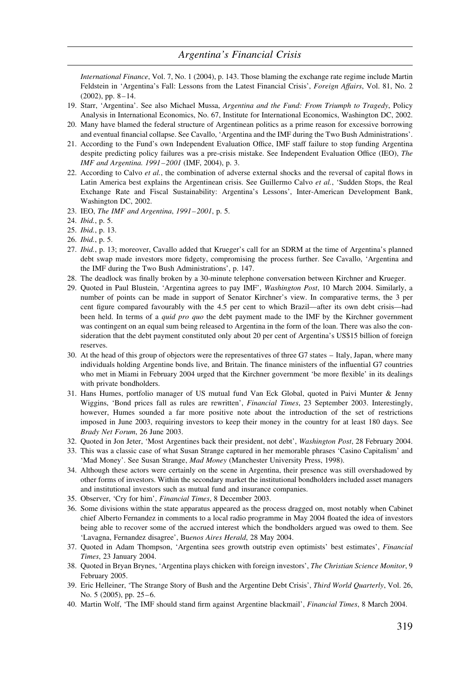International Finance, Vol. 7, No. 1 (2004), p. 143. Those blaming the exchange rate regime include Martin Feldstein in 'Argentina's Fall: Lessons from the Latest Financial Crisis', Foreign Affairs, Vol. 81, No. 2 (2002), pp. 8–14.

- 19. Starr, 'Argentina'. See also Michael Mussa, Argentina and the Fund: From Triumph to Tragedy, Policy Analysis in International Economics, No. 67, Institute for International Economics, Washington DC, 2002.
- 20. Many have blamed the federal structure of Argentinean politics as a prime reason for excessive borrowing and eventual financial collapse. See Cavallo, 'Argentina and the IMF during the Two Bush Administrations'.
- 21. According to the Fund's own Independent Evaluation Office, IMF staff failure to stop funding Argentina despite predicting policy failures was a pre-crisis mistake. See Independent Evaluation Office (IEO), The IMF and Argentina. 1991–2001 (IMF, 2004), p. 3.
- 22. According to Calvo *et al.*, the combination of adverse external shocks and the reversal of capital flows in Latin America best explains the Argentinean crisis. See Guillermo Calvo et al., 'Sudden Stops, the Real Exchange Rate and Fiscal Sustainability: Argentina's Lessons', Inter-American Development Bank, Washington DC, 2002.
- 23. IEO, The IMF and Argentina, 1991–2001, p. 5.

- 25. Ibid., p. 13.
- 26. Ibid., p. 5.
- 27. Ibid., p. 13; moreover, Cavallo added that Krueger's call for an SDRM at the time of Argentina's planned debt swap made investors more fidgety, compromising the process further. See Cavallo, 'Argentina and the IMF during the Two Bush Administrations', p. 147.
- 28. The deadlock was finally broken by a 30-minute telephone conversation between Kirchner and Krueger.
- 29. Quoted in Paul Blustein, 'Argentina agrees to pay IMF', Washington Post, 10 March 2004. Similarly, a number of points can be made in support of Senator Kirchner's view. In comparative terms, the 3 per cent figure compared favourably with the 4.5 per cent to which Brazil—after its own debt crisis—had been held. In terms of a *quid pro quo* the debt payment made to the IMF by the Kirchner government was contingent on an equal sum being released to Argentina in the form of the loan. There was also the consideration that the debt payment constituted only about 20 per cent of Argentina's US\$15 billion of foreign reserves.
- 30. At the head of this group of objectors were the representatives of three G7 states Italy, Japan, where many individuals holding Argentine bonds live, and Britain. The finance ministers of the influential G7 countries who met in Miami in February 2004 urged that the Kirchner government 'be more flexible' in its dealings with private bondholders.
- 31. Hans Humes, portfolio manager of US mutual fund Van Eck Global, quoted in Paivi Munter & Jenny Wiggins, 'Bond prices fall as rules are rewritten', Financial Times, 23 September 2003. Interestingly, however, Humes sounded a far more positive note about the introduction of the set of restrictions imposed in June 2003, requiring investors to keep their money in the country for at least 180 days. See Brady Net Forum, 26 June 2003.
- 32. Quoted in Jon Jeter, 'Most Argentines back their president, not debt', Washington Post, 28 February 2004.
- 33. This was a classic case of what Susan Strange captured in her memorable phrases 'Casino Capitalism' and 'Mad Money'. See Susan Strange, Mad Money (Manchester University Press, 1998).
- 34. Although these actors were certainly on the scene in Argentina, their presence was still overshadowed by other forms of investors. Within the secondary market the institutional bondholders included asset managers and institutional investors such as mutual fund and insurance companies.
- 35. Observer, 'Cry for him', Financial Times, 8 December 2003.
- 36. Some divisions within the state apparatus appeared as the process dragged on, most notably when Cabinet chief Alberto Fernandez in comments to a local radio programme in May 2004 floated the idea of investors being able to recover some of the accrued interest which the bondholders argued was owed to them. See 'Lavagna, Fernandez disagree', Buenos Aires Herald, 28 May 2004.
- 37. Quoted in Adam Thompson, 'Argentina sees growth outstrip even optimists' best estimates', Financial Times, 23 January 2004.
- 38. Quoted in Bryan Brynes, 'Argentina plays chicken with foreign investors', The Christian Science Monitor, 9 February 2005.
- 39. Eric Helleiner, 'The Strange Story of Bush and the Argentine Debt Crisis', Third World Quarterly, Vol. 26, No. 5 (2005), pp. 25–6.
- 40. Martin Wolf, 'The IMF should stand firm against Argentine blackmail', Financial Times, 8 March 2004.

<sup>24.</sup> Ibid., p. 5.